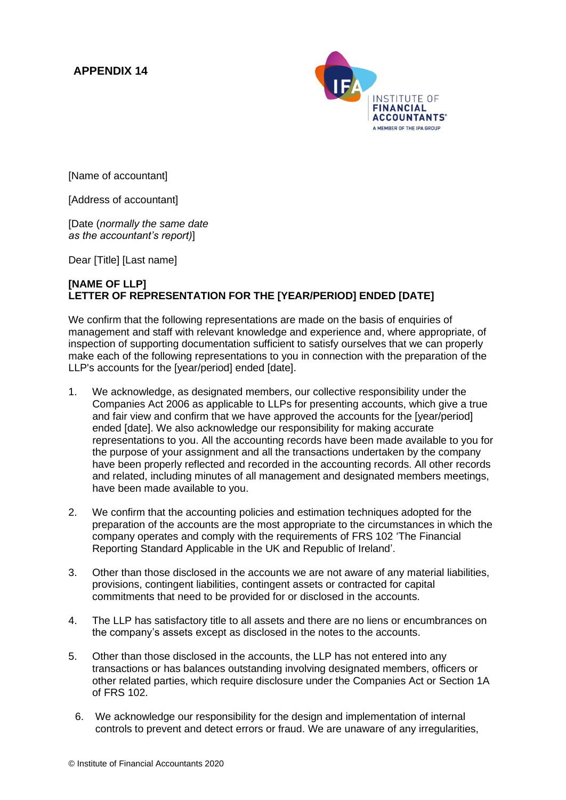## **APPENDIX 14**



[Name of accountant]

[Address of accountant]

[Date (*normally the same date as the accountant's report)*]

Dear [Title] [Last name]

## **[NAME OF LLP] LETTER OF REPRESENTATION FOR THE [YEAR/PERIOD] ENDED [DATE]**

We confirm that the following representations are made on the basis of enquiries of management and staff with relevant knowledge and experience and, where appropriate, of inspection of supporting documentation sufficient to satisfy ourselves that we can properly make each of the following representations to you in connection with the preparation of the LLP's accounts for the [year/period] ended [date].

- 1. We acknowledge, as designated members, our collective responsibility under the Companies Act 2006 as applicable to LLPs for presenting accounts, which give a true and fair view and confirm that we have approved the accounts for the [year/period] ended [date]. We also acknowledge our responsibility for making accurate representations to you. All the accounting records have been made available to you for the purpose of your assignment and all the transactions undertaken by the company have been properly reflected and recorded in the accounting records. All other records and related, including minutes of all management and designated members meetings, have been made available to you.
- 2. We confirm that the accounting policies and estimation techniques adopted for the preparation of the accounts are the most appropriate to the circumstances in which the company operates and comply with the requirements of FRS 102 'The Financial Reporting Standard Applicable in the UK and Republic of Ireland'.
- 3. Other than those disclosed in the accounts we are not aware of any material liabilities, provisions, contingent liabilities, contingent assets or contracted for capital commitments that need to be provided for or disclosed in the accounts.
- 4. The LLP has satisfactory title to all assets and there are no liens or encumbrances on the company's assets except as disclosed in the notes to the accounts.
- 5. Other than those disclosed in the accounts, the LLP has not entered into any transactions or has balances outstanding involving designated members, officers or other related parties, which require disclosure under the Companies Act or Section 1A of FRS 102.
	- 6. We acknowledge our responsibility for the design and implementation of internal controls to prevent and detect errors or fraud. We are unaware of any irregularities,